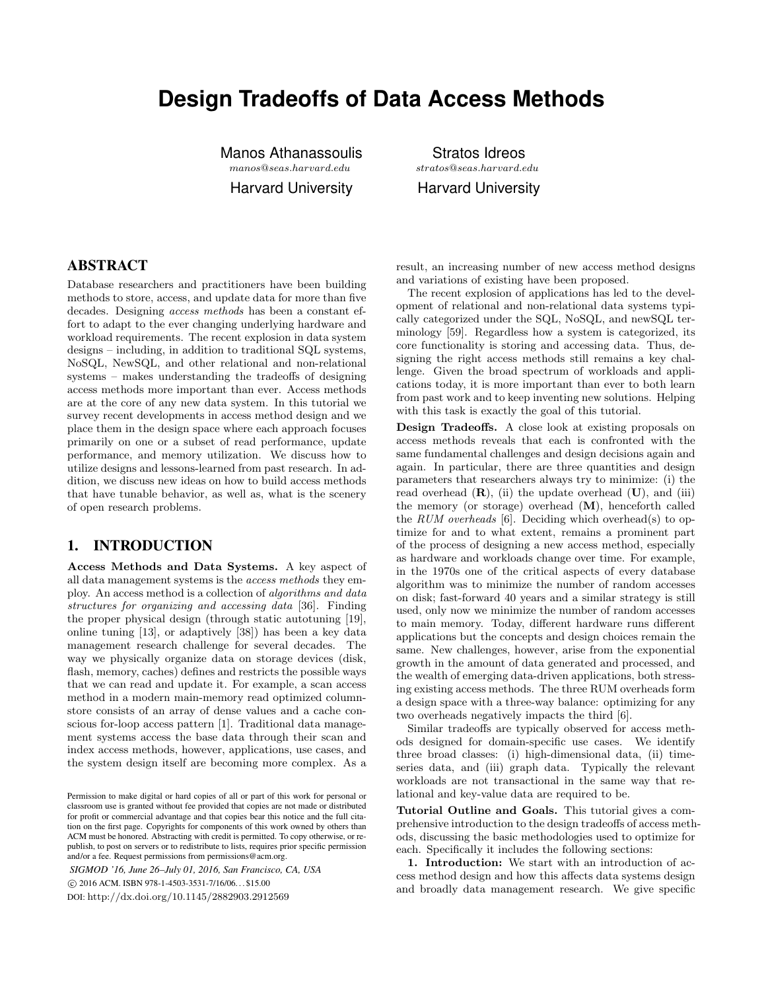# **Design Tradeoffs of Data Access Methods**

Manos Athanassoulis manos@seas.harvard.edu

Harvard University

Stratos Idreos stratos@seas.harvard.edu Harvard University

## ABSTRACT

Database researchers and practitioners have been building methods to store, access, and update data for more than five decades. Designing access methods has been a constant effort to adapt to the ever changing underlying hardware and workload requirements. The recent explosion in data system designs – including, in addition to traditional SQL systems, NoSQL, NewSQL, and other relational and non-relational systems – makes understanding the tradeoffs of designing access methods more important than ever. Access methods are at the core of any new data system. In this tutorial we survey recent developments in access method design and we place them in the design space where each approach focuses primarily on one or a subset of read performance, update performance, and memory utilization. We discuss how to utilize designs and lessons-learned from past research. In addition, we discuss new ideas on how to build access methods that have tunable behavior, as well as, what is the scenery of open research problems.

# 1. INTRODUCTION

Access Methods and Data Systems. A key aspect of all data management systems is the access methods they employ. An access method is a collection of algorithms and data structures for organizing and accessing data [36]. Finding the proper physical design (through static autotuning [19], online tuning [13], or adaptively [38]) has been a key data management research challenge for several decades. The way we physically organize data on storage devices (disk, flash, memory, caches) defines and restricts the possible ways that we can read and update it. For example, a scan access method in a modern main-memory read optimized columnstore consists of an array of dense values and a cache conscious for-loop access pattern [1]. Traditional data management systems access the base data through their scan and index access methods, however, applications, use cases, and the system design itself are becoming more complex. As a

*SIGMOD '16, June 26–July 01, 2016, San Francisco, CA, USA* c 2016 ACM. ISBN 978-1-4503-3531-7/16/06. . . \$15.00 DOI: http://dx.doi.org/10.1145/2882903.2912569

result, an increasing number of new access method designs and variations of existing have been proposed.

The recent explosion of applications has led to the development of relational and non-relational data systems typically categorized under the SQL, NoSQL, and newSQL terminology [59]. Regardless how a system is categorized, its core functionality is storing and accessing data. Thus, designing the right access methods still remains a key challenge. Given the broad spectrum of workloads and applications today, it is more important than ever to both learn from past work and to keep inventing new solutions. Helping with this task is exactly the goal of this tutorial.

Design Tradeoffs. A close look at existing proposals on access methods reveals that each is confronted with the same fundamental challenges and design decisions again and again. In particular, there are three quantities and design parameters that researchers always try to minimize: (i) the read overhead  $(R)$ , (ii) the update overhead  $(U)$ , and (iii) the memory (or storage) overhead  $(M)$ , henceforth called the RUM overheads [6]. Deciding which overhead(s) to optimize for and to what extent, remains a prominent part of the process of designing a new access method, especially as hardware and workloads change over time. For example, in the 1970s one of the critical aspects of every database algorithm was to minimize the number of random accesses on disk; fast-forward 40 years and a similar strategy is still used, only now we minimize the number of random accesses to main memory. Today, different hardware runs different applications but the concepts and design choices remain the same. New challenges, however, arise from the exponential growth in the amount of data generated and processed, and the wealth of emerging data-driven applications, both stressing existing access methods. The three RUM overheads form a design space with a three-way balance: optimizing for any two overheads negatively impacts the third [6].

Similar tradeoffs are typically observed for access methods designed for domain-specific use cases. We identify three broad classes: (i) high-dimensional data, (ii) timeseries data, and (iii) graph data. Typically the relevant workloads are not transactional in the same way that relational and key-value data are required to be.

Tutorial Outline and Goals. This tutorial gives a comprehensive introduction to the design tradeoffs of access methods, discussing the basic methodologies used to optimize for each. Specifically it includes the following sections:

1. Introduction: We start with an introduction of access method design and how this affects data systems design and broadly data management research. We give specific

Permission to make digital or hard copies of all or part of this work for personal or classroom use is granted without fee provided that copies are not made or distributed for profit or commercial advantage and that copies bear this notice and the full citation on the first page. Copyrights for components of this work owned by others than ACM must be honored. Abstracting with credit is permitted. To copy otherwise, or republish, to post on servers or to redistribute to lists, requires prior specific permission and/or a fee. Request permissions from permissions@acm.org.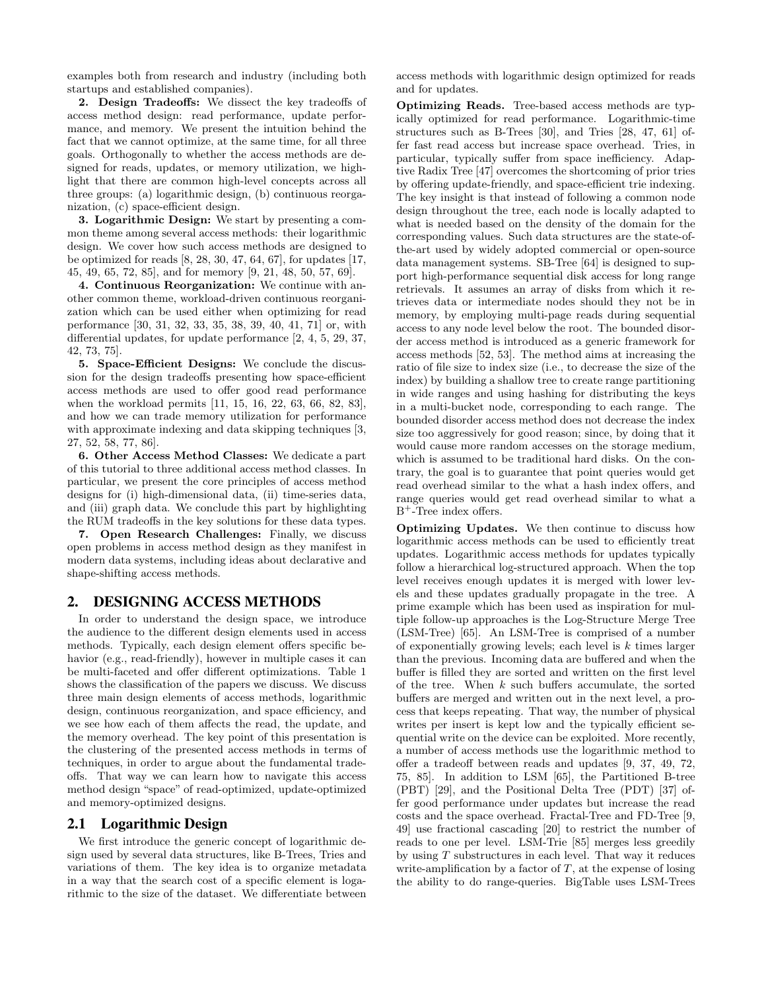examples both from research and industry (including both startups and established companies).

2. Design Tradeoffs: We dissect the key tradeoffs of access method design: read performance, update performance, and memory. We present the intuition behind the fact that we cannot optimize, at the same time, for all three goals. Orthogonally to whether the access methods are designed for reads, updates, or memory utilization, we highlight that there are common high-level concepts across all three groups: (a) logarithmic design, (b) continuous reorganization, (c) space-efficient design.

3. Logarithmic Design: We start by presenting a common theme among several access methods: their logarithmic design. We cover how such access methods are designed to be optimized for reads [8, 28, 30, 47, 64, 67], for updates [17, 45, 49, 65, 72, 85], and for memory [9, 21, 48, 50, 57, 69].

4. Continuous Reorganization: We continue with another common theme, workload-driven continuous reorganization which can be used either when optimizing for read performance [30, 31, 32, 33, 35, 38, 39, 40, 41, 71] or, with differential updates, for update performance [2, 4, 5, 29, 37, 42, 73, 75].

5. Space-Efficient Designs: We conclude the discussion for the design tradeoffs presenting how space-efficient access methods are used to offer good read performance when the workload permits [11, 15, 16, 22, 63, 66, 82, 83], and how we can trade memory utilization for performance with approximate indexing and data skipping techniques [3, 27, 52, 58, 77, 86].

6. Other Access Method Classes: We dedicate a part of this tutorial to three additional access method classes. In particular, we present the core principles of access method designs for (i) high-dimensional data, (ii) time-series data, and (iii) graph data. We conclude this part by highlighting the RUM tradeoffs in the key solutions for these data types.

7. Open Research Challenges: Finally, we discuss open problems in access method design as they manifest in modern data systems, including ideas about declarative and shape-shifting access methods.

#### 2. DESIGNING ACCESS METHODS

In order to understand the design space, we introduce the audience to the different design elements used in access methods. Typically, each design element offers specific behavior (e.g., read-friendly), however in multiple cases it can be multi-faceted and offer different optimizations. Table 1 shows the classification of the papers we discuss. We discuss three main design elements of access methods, logarithmic design, continuous reorganization, and space efficiency, and we see how each of them affects the read, the update, and the memory overhead. The key point of this presentation is the clustering of the presented access methods in terms of techniques, in order to argue about the fundamental tradeoffs. That way we can learn how to navigate this access method design "space" of read-optimized, update-optimized and memory-optimized designs.

#### 2.1 Logarithmic Design

We first introduce the generic concept of logarithmic design used by several data structures, like B-Trees, Tries and variations of them. The key idea is to organize metadata in a way that the search cost of a specific element is logarithmic to the size of the dataset. We differentiate between access methods with logarithmic design optimized for reads and for updates.

Optimizing Reads. Tree-based access methods are typically optimized for read performance. Logarithmic-time structures such as B-Trees [30], and Tries [28, 47, 61] offer fast read access but increase space overhead. Tries, in particular, typically suffer from space inefficiency. Adaptive Radix Tree [47] overcomes the shortcoming of prior tries by offering update-friendly, and space-efficient trie indexing. The key insight is that instead of following a common node design throughout the tree, each node is locally adapted to what is needed based on the density of the domain for the corresponding values. Such data structures are the state-ofthe-art used by widely adopted commercial or open-source data management systems. SB-Tree [64] is designed to support high-performance sequential disk access for long range retrievals. It assumes an array of disks from which it retrieves data or intermediate nodes should they not be in memory, by employing multi-page reads during sequential access to any node level below the root. The bounded disorder access method is introduced as a generic framework for access methods [52, 53]. The method aims at increasing the ratio of file size to index size (i.e., to decrease the size of the index) by building a shallow tree to create range partitioning in wide ranges and using hashing for distributing the keys in a multi-bucket node, corresponding to each range. The bounded disorder access method does not decrease the index size too aggressively for good reason; since, by doing that it would cause more random accesses on the storage medium, which is assumed to be traditional hard disks. On the contrary, the goal is to guarantee that point queries would get read overhead similar to the what a hash index offers, and range queries would get read overhead similar to what a B<sup>+</sup>-Tree index offers.

Optimizing Updates. We then continue to discuss how logarithmic access methods can be used to efficiently treat updates. Logarithmic access methods for updates typically follow a hierarchical log-structured approach. When the top level receives enough updates it is merged with lower levels and these updates gradually propagate in the tree. A prime example which has been used as inspiration for multiple follow-up approaches is the Log-Structure Merge Tree (LSM-Tree) [65]. An LSM-Tree is comprised of a number of exponentially growing levels; each level is  $k$  times larger than the previous. Incoming data are buffered and when the buffer is filled they are sorted and written on the first level of the tree. When k such buffers accumulate, the sorted buffers are merged and written out in the next level, a process that keeps repeating. That way, the number of physical writes per insert is kept low and the typically efficient sequential write on the device can be exploited. More recently, a number of access methods use the logarithmic method to offer a tradeoff between reads and updates [9, 37, 49, 72, 75, 85]. In addition to LSM [65], the Partitioned B-tree (PBT) [29], and the Positional Delta Tree (PDT) [37] offer good performance under updates but increase the read costs and the space overhead. Fractal-Tree and FD-Tree [9, 49] use fractional cascading [20] to restrict the number of reads to one per level. LSM-Trie [85] merges less greedily by using  $T$  substructures in each level. That way it reduces write-amplification by a factor of  $T$ , at the expense of losing the ability to do range-queries. BigTable uses LSM-Trees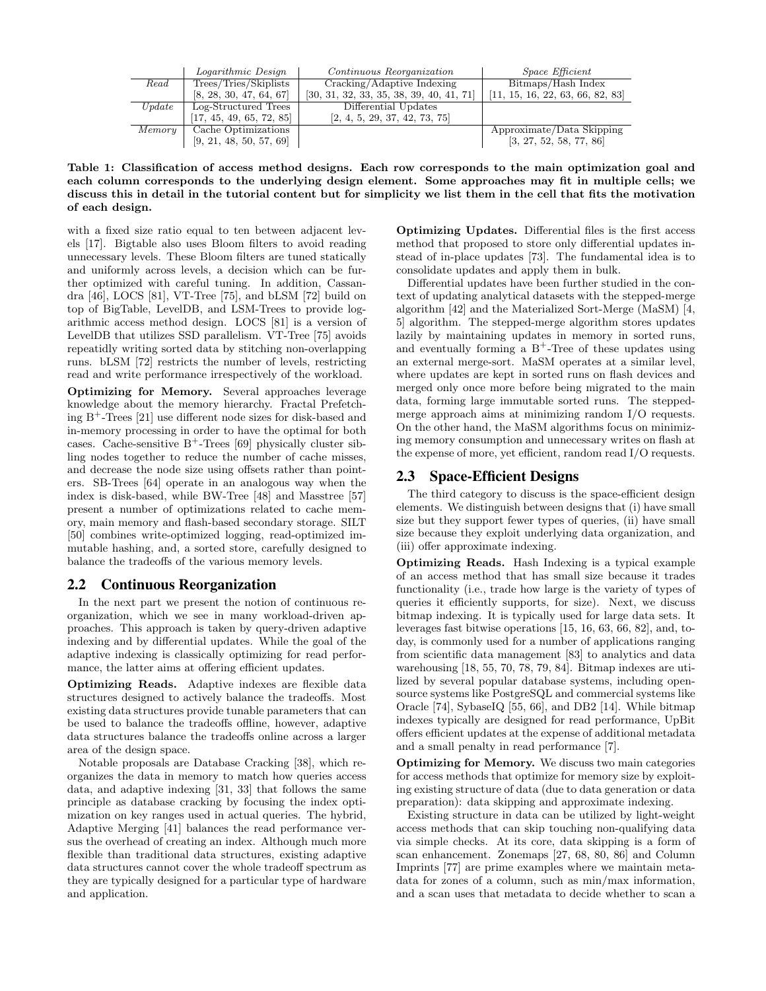|          | Logarithmic Design       | Continuous Reorganization                  | <i>Space Efficient</i>           |
|----------|--------------------------|--------------------------------------------|----------------------------------|
| Read     | Trees/Tries/Skiplists    | Cracking/Adaptive Indexing                 | Bitmaps/Hash Index               |
|          | [8, 28, 30, 47, 64, 67]  | $[30, 31, 32, 33, 35, 38, 39, 40, 41, 71]$ | [11, 15, 16, 22, 63, 66, 82, 83] |
| Update   | Log-Structured Trees     | Differential Updates                       |                                  |
|          | [17, 45, 49, 65, 72, 85] | [2, 4, 5, 29, 37, 42, 73, 75]              |                                  |
| Memory 1 | Cache Optimizations      |                                            | Approximate/Data Skipping        |
|          | [9, 21, 48, 50, 57, 69]  |                                            | [3, 27, 52, 58, 77, 86]          |

Table 1: Classification of access method designs. Each row corresponds to the main optimization goal and each column corresponds to the underlying design element. Some approaches may fit in multiple cells; we discuss this in detail in the tutorial content but for simplicity we list them in the cell that fits the motivation of each design.

with a fixed size ratio equal to ten between adjacent levels [17]. Bigtable also uses Bloom filters to avoid reading unnecessary levels. These Bloom filters are tuned statically and uniformly across levels, a decision which can be further optimized with careful tuning. In addition, Cassandra [46], LOCS [81], VT-Tree [75], and bLSM [72] build on top of BigTable, LevelDB, and LSM-Trees to provide logarithmic access method design. LOCS [81] is a version of LevelDB that utilizes SSD parallelism. VT-Tree [75] avoids repeatidly writing sorted data by stitching non-overlapping runs. bLSM [72] restricts the number of levels, restricting read and write performance irrespectively of the workload.

Optimizing for Memory. Several approaches leverage knowledge about the memory hierarchy. Fractal Prefetching B<sup>+</sup>-Trees [21] use different node sizes for disk-based and in-memory processing in order to have the optimal for both cases. Cache-sensitive  $B^+$ -Trees [69] physically cluster sibling nodes together to reduce the number of cache misses, and decrease the node size using offsets rather than pointers. SB-Trees [64] operate in an analogous way when the index is disk-based, while BW-Tree [48] and Masstree [57] present a number of optimizations related to cache memory, main memory and flash-based secondary storage. SILT [50] combines write-optimized logging, read-optimized immutable hashing, and, a sorted store, carefully designed to balance the tradeoffs of the various memory levels.

## 2.2 Continuous Reorganization

In the next part we present the notion of continuous reorganization, which we see in many workload-driven approaches. This approach is taken by query-driven adaptive indexing and by differential updates. While the goal of the adaptive indexing is classically optimizing for read performance, the latter aims at offering efficient updates.

Optimizing Reads. Adaptive indexes are flexible data structures designed to actively balance the tradeoffs. Most existing data structures provide tunable parameters that can be used to balance the tradeoffs offline, however, adaptive data structures balance the tradeoffs online across a larger area of the design space.

Notable proposals are Database Cracking [38], which reorganizes the data in memory to match how queries access data, and adaptive indexing [31, 33] that follows the same principle as database cracking by focusing the index optimization on key ranges used in actual queries. The hybrid, Adaptive Merging [41] balances the read performance versus the overhead of creating an index. Although much more flexible than traditional data structures, existing adaptive data structures cannot cover the whole tradeoff spectrum as they are typically designed for a particular type of hardware and application.

Optimizing Updates. Differential files is the first access method that proposed to store only differential updates instead of in-place updates [73]. The fundamental idea is to consolidate updates and apply them in bulk.

Differential updates have been further studied in the context of updating analytical datasets with the stepped-merge algorithm [42] and the Materialized Sort-Merge (MaSM) [4, 5] algorithm. The stepped-merge algorithm stores updates lazily by maintaining updates in memory in sorted runs, and eventually forming a  $B^+$ -Tree of these updates using an external merge-sort. MaSM operates at a similar level, where updates are kept in sorted runs on flash devices and merged only once more before being migrated to the main data, forming large immutable sorted runs. The steppedmerge approach aims at minimizing random I/O requests. On the other hand, the MaSM algorithms focus on minimizing memory consumption and unnecessary writes on flash at the expense of more, yet efficient, random read I/O requests.

# 2.3 Space-Efficient Designs

The third category to discuss is the space-efficient design elements. We distinguish between designs that (i) have small size but they support fewer types of queries, (ii) have small size because they exploit underlying data organization, and (iii) offer approximate indexing.

Optimizing Reads. Hash Indexing is a typical example of an access method that has small size because it trades functionality (i.e., trade how large is the variety of types of queries it efficiently supports, for size). Next, we discuss bitmap indexing. It is typically used for large data sets. It leverages fast bitwise operations [15, 16, 63, 66, 82], and, today, is commonly used for a number of applications ranging from scientific data management [83] to analytics and data warehousing [18, 55, 70, 78, 79, 84]. Bitmap indexes are utilized by several popular database systems, including opensource systems like PostgreSQL and commercial systems like Oracle [74], SybaseIQ [55, 66], and DB2 [14]. While bitmap indexes typically are designed for read performance, UpBit offers efficient updates at the expense of additional metadata and a small penalty in read performance [7].

Optimizing for Memory. We discuss two main categories for access methods that optimize for memory size by exploiting existing structure of data (due to data generation or data preparation): data skipping and approximate indexing.

Existing structure in data can be utilized by light-weight access methods that can skip touching non-qualifying data via simple checks. At its core, data skipping is a form of scan enhancement. Zonemaps [27, 68, 80, 86] and Column Imprints [77] are prime examples where we maintain metadata for zones of a column, such as min/max information, and a scan uses that metadata to decide whether to scan a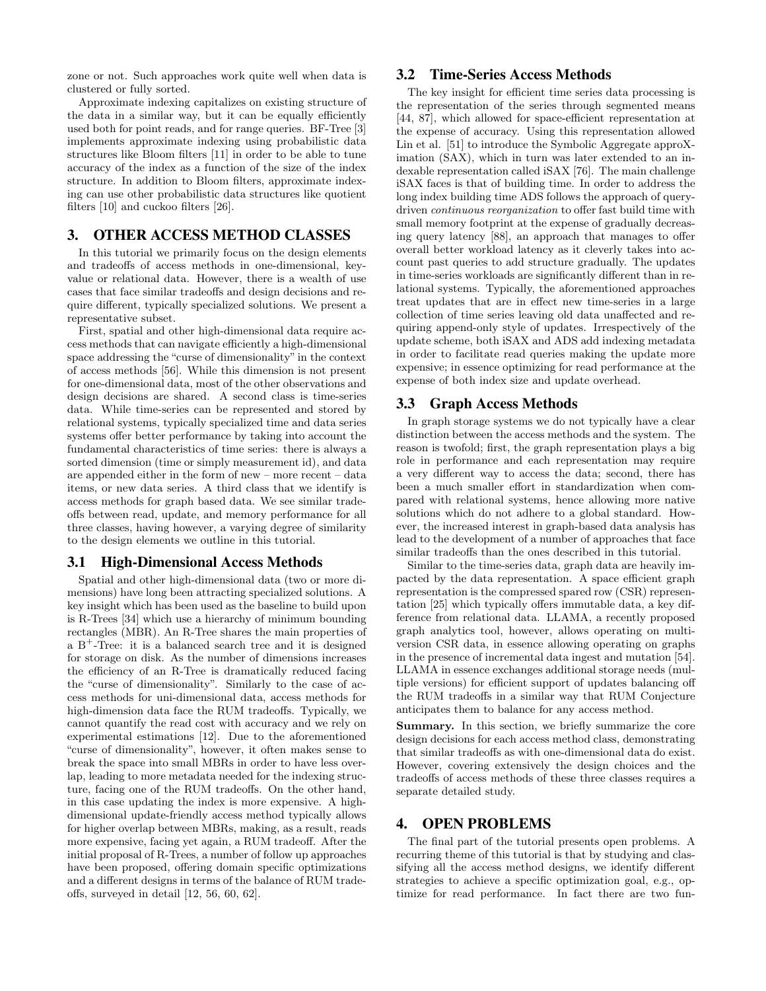zone or not. Such approaches work quite well when data is clustered or fully sorted.

Approximate indexing capitalizes on existing structure of the data in a similar way, but it can be equally efficiently used both for point reads, and for range queries. BF-Tree [3] implements approximate indexing using probabilistic data structures like Bloom filters [11] in order to be able to tune accuracy of the index as a function of the size of the index structure. In addition to Bloom filters, approximate indexing can use other probabilistic data structures like quotient filters [10] and cuckoo filters [26].

#### 3. OTHER ACCESS METHOD CLASSES

In this tutorial we primarily focus on the design elements and tradeoffs of access methods in one-dimensional, keyvalue or relational data. However, there is a wealth of use cases that face similar tradeoffs and design decisions and require different, typically specialized solutions. We present a representative subset.

First, spatial and other high-dimensional data require access methods that can navigate efficiently a high-dimensional space addressing the "curse of dimensionality" in the context of access methods [56]. While this dimension is not present for one-dimensional data, most of the other observations and design decisions are shared. A second class is time-series data. While time-series can be represented and stored by relational systems, typically specialized time and data series systems offer better performance by taking into account the fundamental characteristics of time series: there is always a sorted dimension (time or simply measurement id), and data are appended either in the form of new – more recent – data items, or new data series. A third class that we identify is access methods for graph based data. We see similar tradeoffs between read, update, and memory performance for all three classes, having however, a varying degree of similarity to the design elements we outline in this tutorial.

#### 3.1 High-Dimensional Access Methods

Spatial and other high-dimensional data (two or more dimensions) have long been attracting specialized solutions. A key insight which has been used as the baseline to build upon is R-Trees [34] which use a hierarchy of minimum bounding rectangles (MBR). An R-Tree shares the main properties of a  $B^+$ -Tree: it is a balanced search tree and it is designed for storage on disk. As the number of dimensions increases the efficiency of an R-Tree is dramatically reduced facing the "curse of dimensionality". Similarly to the case of access methods for uni-dimensional data, access methods for high-dimension data face the RUM tradeoffs. Typically, we cannot quantify the read cost with accuracy and we rely on experimental estimations [12]. Due to the aforementioned "curse of dimensionality", however, it often makes sense to break the space into small MBRs in order to have less overlap, leading to more metadata needed for the indexing structure, facing one of the RUM tradeoffs. On the other hand, in this case updating the index is more expensive. A highdimensional update-friendly access method typically allows for higher overlap between MBRs, making, as a result, reads more expensive, facing yet again, a RUM tradeoff. After the initial proposal of R-Trees, a number of follow up approaches have been proposed, offering domain specific optimizations and a different designs in terms of the balance of RUM tradeoffs, surveyed in detail [12, 56, 60, 62].

#### 3.2 Time-Series Access Methods

The key insight for efficient time series data processing is the representation of the series through segmented means [44, 87], which allowed for space-efficient representation at the expense of accuracy. Using this representation allowed Lin et al. [51] to introduce the Symbolic Aggregate approXimation (SAX), which in turn was later extended to an indexable representation called iSAX [76]. The main challenge iSAX faces is that of building time. In order to address the long index building time ADS follows the approach of querydriven continuous reorganization to offer fast build time with small memory footprint at the expense of gradually decreasing query latency [88], an approach that manages to offer overall better workload latency as it cleverly takes into account past queries to add structure gradually. The updates in time-series workloads are significantly different than in relational systems. Typically, the aforementioned approaches treat updates that are in effect new time-series in a large collection of time series leaving old data unaffected and requiring append-only style of updates. Irrespectively of the update scheme, both iSAX and ADS add indexing metadata in order to facilitate read queries making the update more expensive; in essence optimizing for read performance at the expense of both index size and update overhead.

#### 3.3 Graph Access Methods

In graph storage systems we do not typically have a clear distinction between the access methods and the system. The reason is twofold; first, the graph representation plays a big role in performance and each representation may require a very different way to access the data; second, there has been a much smaller effort in standardization when compared with relational systems, hence allowing more native solutions which do not adhere to a global standard. However, the increased interest in graph-based data analysis has lead to the development of a number of approaches that face similar tradeoffs than the ones described in this tutorial.

Similar to the time-series data, graph data are heavily impacted by the data representation. A space efficient graph representation is the compressed spared row (CSR) representation [25] which typically offers immutable data, a key difference from relational data. LLAMA, a recently proposed graph analytics tool, however, allows operating on multiversion CSR data, in essence allowing operating on graphs in the presence of incremental data ingest and mutation [54]. LLAMA in essence exchanges additional storage needs (multiple versions) for efficient support of updates balancing off the RUM tradeoffs in a similar way that RUM Conjecture anticipates them to balance for any access method.

Summary. In this section, we briefly summarize the core design decisions for each access method class, demonstrating that similar tradeoffs as with one-dimensional data do exist. However, covering extensively the design choices and the tradeoffs of access methods of these three classes requires a separate detailed study.

#### 4. OPEN PROBLEMS

The final part of the tutorial presents open problems. A recurring theme of this tutorial is that by studying and classifying all the access method designs, we identify different strategies to achieve a specific optimization goal, e.g., optimize for read performance. In fact there are two fun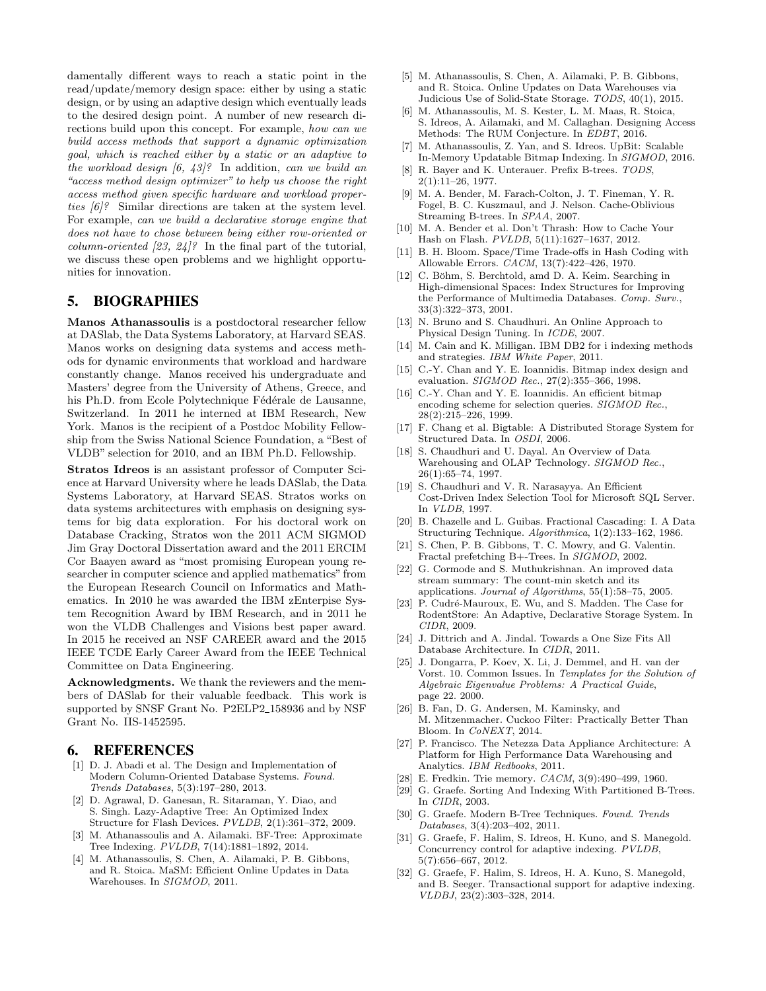damentally different ways to reach a static point in the read/update/memory design space: either by using a static design, or by using an adaptive design which eventually leads to the desired design point. A number of new research directions build upon this concept. For example, how can we build access methods that support a dynamic optimization goal, which is reached either by a static or an adaptive to the workload design  $(6, 43)$ ? In addition, can we build an "access method design optimizer" to help us choose the right access method given specific hardware and workload properties [6]? Similar directions are taken at the system level. For example, can we build a declarative storage engine that does not have to chose between being either row-oriented or column-oriented  $[23, 24]$ ? In the final part of the tutorial, we discuss these open problems and we highlight opportunities for innovation.

#### 5. BIOGRAPHIES

Manos Athanassoulis is a postdoctoral researcher fellow at DASlab, the Data Systems Laboratory, at Harvard SEAS. Manos works on designing data systems and access methods for dynamic environments that workload and hardware constantly change. Manos received his undergraduate and Masters' degree from the University of Athens, Greece, and his Ph.D. from Ecole Polytechnique Fédérale de Lausanne, Switzerland. In 2011 he interned at IBM Research, New York. Manos is the recipient of a Postdoc Mobility Fellowship from the Swiss National Science Foundation, a "Best of VLDB" selection for 2010, and an IBM Ph.D. Fellowship.

Stratos Idreos is an assistant professor of Computer Science at Harvard University where he leads DASlab, the Data Systems Laboratory, at Harvard SEAS. Stratos works on data systems architectures with emphasis on designing systems for big data exploration. For his doctoral work on Database Cracking, Stratos won the 2011 ACM SIGMOD Jim Gray Doctoral Dissertation award and the 2011 ERCIM Cor Baayen award as "most promising European young researcher in computer science and applied mathematics" from the European Research Council on Informatics and Mathematics. In 2010 he was awarded the IBM zEnterpise System Recognition Award by IBM Research, and in 2011 he won the VLDB Challenges and Visions best paper award. In 2015 he received an NSF CAREER award and the 2015 IEEE TCDE Early Career Award from the IEEE Technical Committee on Data Engineering.

Acknowledgments. We thank the reviewers and the members of DASlab for their valuable feedback. This work is supported by SNSF Grant No. P2ELP2\_158936 and by NSF Grant No. IIS-1452595.

# 6. REFERENCES

- [1] D. J. Abadi et al. The Design and Implementation of Modern Column-Oriented Database Systems. Found. Trends Databases, 5(3):197–280, 2013.
- [2] D. Agrawal, D. Ganesan, R. Sitaraman, Y. Diao, and S. Singh. Lazy-Adaptive Tree: An Optimized Index Structure for Flash Devices. PVLDB, 2(1):361–372, 2009.
- [3] M. Athanassoulis and A. Ailamaki. BF-Tree: Approximate Tree Indexing. PVLDB, 7(14):1881–1892, 2014.
- [4] M. Athanassoulis, S. Chen, A. Ailamaki, P. B. Gibbons, and R. Stoica. MaSM: Efficient Online Updates in Data Warehouses. In SIGMOD, 2011.
- [5] M. Athanassoulis, S. Chen, A. Ailamaki, P. B. Gibbons, and R. Stoica. Online Updates on Data Warehouses via Judicious Use of Solid-State Storage. TODS, 40(1), 2015.
- [6] M. Athanassoulis, M. S. Kester, L. M. Maas, R. Stoica, S. Idreos, A. Ailamaki, and M. Callaghan. Designing Access Methods: The RUM Conjecture. In EDBT, 2016.
- [7] M. Athanassoulis, Z. Yan, and S. Idreos. UpBit: Scalable In-Memory Updatable Bitmap Indexing. In SIGMOD, 2016.
- [8] R. Bayer and K. Unterauer. Prefix B-trees. TODS,  $2(1):11-26, 1977.$
- [9] M. A. Bender, M. Farach-Colton, J. T. Fineman, Y. R. Fogel, B. C. Kuszmaul, and J. Nelson. Cache-Oblivious Streaming B-trees. In SPAA, 2007.
- [10] M. A. Bender et al. Don't Thrash: How to Cache Your Hash on Flash. PVLDB, 5(11):1627–1637, 2012.
- [11] B. H. Bloom. Space/Time Trade-offs in Hash Coding with Allowable Errors. CACM, 13(7):422–426, 1970.
- [12] C. Böhm, S. Berchtold, amd D. A. Keim. Searching in High-dimensional Spaces: Index Structures for Improving the Performance of Multimedia Databases. Comp. Surv., 33(3):322–373, 2001.
- [13] N. Bruno and S. Chaudhuri. An Online Approach to Physical Design Tuning. In ICDE, 2007.
- [14] M. Cain and K. Milligan. IBM DB2 for i indexing methods and strategies. IBM White Paper, 2011.
- [15] C.-Y. Chan and Y. E. Ioannidis. Bitmap index design and evaluation. SIGMOD Rec., 27(2):355–366, 1998.
- [16] C.-Y. Chan and Y. E. Ioannidis. An efficient bitmap encoding scheme for selection queries. SIGMOD Rec., 28(2):215–226, 1999.
- [17] F. Chang et al. Bigtable: A Distributed Storage System for Structured Data. In OSDI, 2006.
- [18] S. Chaudhuri and U. Dayal. An Overview of Data Warehousing and OLAP Technology. SIGMOD Rec., 26(1):65–74, 1997.
- [19] S. Chaudhuri and V. R. Narasayya. An Efficient Cost-Driven Index Selection Tool for Microsoft SQL Server. In VLDB, 1997.
- [20] B. Chazelle and L. Guibas. Fractional Cascading: I. A Data Structuring Technique. Algorithmica, 1(2):133–162, 1986.
- [21] S. Chen, P. B. Gibbons, T. C. Mowry, and G. Valentin. Fractal prefetching B+-Trees. In SIGMOD, 2002.
- [22] G. Cormode and S. Muthukrishnan. An improved data stream summary: The count-min sketch and its applications. Journal of Algorithms, 55(1):58–75, 2005.
- [23] P. Cudré-Mauroux, E. Wu, and S. Madden. The Case for RodentStore: An Adaptive, Declarative Storage System. In CIDR, 2009.
- [24] J. Dittrich and A. Jindal. Towards a One Size Fits All Database Architecture. In CIDR, 2011.
- [25] J. Dongarra, P. Koev, X. Li, J. Demmel, and H. van der Vorst. 10. Common Issues. In Templates for the Solution of Algebraic Eigenvalue Problems: A Practical Guide, page 22. 2000.
- [26] B. Fan, D. G. Andersen, M. Kaminsky, and M. Mitzenmacher. Cuckoo Filter: Practically Better Than Bloom. In CoNEXT, 2014.
- [27] P. Francisco. The Netezza Data Appliance Architecture: A Platform for High Performance Data Warehousing and Analytics. IBM Redbooks, 2011.
- [28] E. Fredkin. Trie memory. CACM, 3(9):490–499, 1960.
- [29] G. Graefe. Sorting And Indexing With Partitioned B-Trees. In CIDR, 2003.
- [30] G. Graefe. Modern B-Tree Techniques. Found. Trends Databases, 3(4):203–402, 2011.
- [31] G. Graefe, F. Halim, S. Idreos, H. Kuno, and S. Manegold. Concurrency control for adaptive indexing. PVLDB, 5(7):656–667, 2012.
- [32] G. Graefe, F. Halim, S. Idreos, H. A. Kuno, S. Manegold, and B. Seeger. Transactional support for adaptive indexing. VLDBJ, 23(2):303–328, 2014.